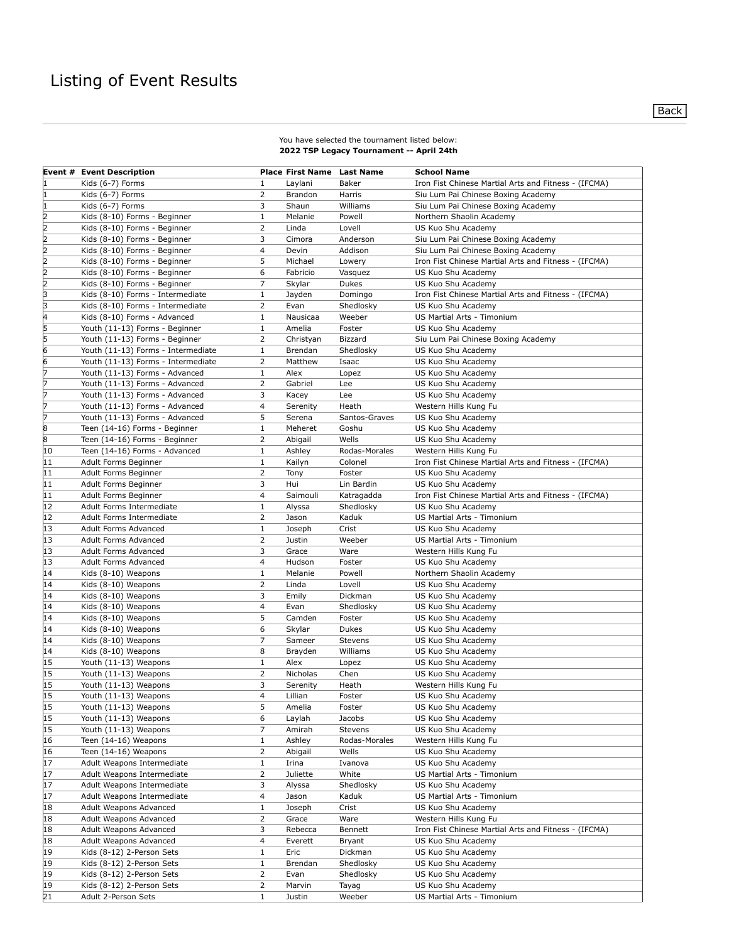## You have selected the tournament listed below: **2022 TSP Legacy Tournament -- April 24th**

|              | <b>Event # Event Description</b>   |                | <b>Place First Name Last Name</b> |                | <b>School Name</b>                                   |
|--------------|------------------------------------|----------------|-----------------------------------|----------------|------------------------------------------------------|
|              | Kids (6-7) Forms                   | 1              | Laylani                           | Baker          | Iron Fist Chinese Martial Arts and Fitness - (IFCMA) |
| I1           | Kids (6-7) Forms                   | 2              | Brandon                           | Harris         | Siu Lum Pai Chinese Boxing Academy                   |
|              | Kids (6-7) Forms                   | 3              | Shaun                             | Williams       | Siu Lum Pai Chinese Boxing Academy                   |
| <sub>2</sub> | Kids (8-10) Forms - Beginner       | 1              | Melanie                           | Powell         | Northern Shaolin Academy                             |
| l2           | Kids (8-10) Forms - Beginner       | 2              | Linda                             | Lovell         | US Kuo Shu Academy                                   |
| 2            | Kids (8-10) Forms - Beginner       | 3              | Cimora                            | Anderson       | Siu Lum Pai Chinese Boxing Academy                   |
| I2           | Kids (8-10) Forms - Beginner       | 4              | Devin                             | Addison        | Siu Lum Pai Chinese Boxing Academy                   |
| l2           | Kids (8-10) Forms - Beginner       | 5              | Michael                           | Lowery         | Iron Fist Chinese Martial Arts and Fitness - (IFCMA) |
| 2            | Kids (8-10) Forms - Beginner       | 6              | Fabricio                          | Vasquez        | US Kuo Shu Academy                                   |
| 2            | Kids (8-10) Forms - Beginner       | 7              | Skylar                            | Dukes          | US Kuo Shu Academy                                   |
| 3            | Kids (8-10) Forms - Intermediate   | 1              | Jayden                            | Domingo        | Iron Fist Chinese Martial Arts and Fitness - (IFCMA) |
| 3            | Kids (8-10) Forms - Intermediate   | 2              | Evan                              | Shedlosky      | US Kuo Shu Academy                                   |
| 4            | Kids (8-10) Forms - Advanced       | $1\,$          | Nausicaa                          | Weeber         | US Martial Arts - Timonium                           |
| 5            | Youth (11-13) Forms - Beginner     | $\mathbf{1}$   | Amelia                            | Foster         | US Kuo Shu Academy                                   |
| 5            | Youth (11-13) Forms - Beginner     | 2              | Christyan                         | <b>Bizzard</b> | Siu Lum Pai Chinese Boxing Academy                   |
| 6            |                                    | $\mathbf{1}$   | Brendan                           | Shedlosky      |                                                      |
| 6            | Youth (11-13) Forms - Intermediate | 2              | Matthew                           | Isaac          | US Kuo Shu Academy                                   |
| 17           | Youth (11-13) Forms - Intermediate |                |                                   |                | US Kuo Shu Academy                                   |
|              | Youth (11-13) Forms - Advanced     | 1              | Alex                              | Lopez          | US Kuo Shu Academy                                   |
|              | Youth (11-13) Forms - Advanced     | 2              | Gabriel                           | Lee            | US Kuo Shu Academy                                   |
| 17           | Youth (11-13) Forms - Advanced     | 3              | Kacey                             | Lee            | US Kuo Shu Academy                                   |
| 17           | Youth (11-13) Forms - Advanced     | 4              | Serenity                          | Heath          | Western Hills Kung Fu                                |
| 17           | Youth (11-13) Forms - Advanced     | 5              | Serena                            | Santos-Graves  | US Kuo Shu Academy                                   |
| 8            | Teen (14-16) Forms - Beginner      | $\mathbf 1$    | Meheret                           | Goshu          | US Kuo Shu Academy                                   |
| 8            | Teen (14-16) Forms - Beginner      | $\overline{2}$ | Abigail                           | Wells          | US Kuo Shu Academy                                   |
| 10           | Teen (14-16) Forms - Advanced      | 1              | Ashley                            | Rodas-Morales  | Western Hills Kung Fu                                |
| 11           | Adult Forms Beginner               | 1              | Kailyn                            | Colonel        | Iron Fist Chinese Martial Arts and Fitness - (IFCMA) |
| 11           | Adult Forms Beginner               | 2              | Tony                              | Foster         | US Kuo Shu Academy                                   |
| 11           | Adult Forms Beginner               | 3              | Hui                               | Lin Bardin     | US Kuo Shu Academy                                   |
| 11           | Adult Forms Beginner               | 4              | Saimouli                          | Katragadda     | Iron Fist Chinese Martial Arts and Fitness - (IFCMA) |
| 12           | Adult Forms Intermediate           | $\mathbf{1}$   | Alyssa                            | Shedlosky      | US Kuo Shu Academy                                   |
| 12           | Adult Forms Intermediate           | $\overline{2}$ | Jason                             | Kaduk          | US Martial Arts - Timonium                           |
| 13           | Adult Forms Advanced               | 1              | Joseph                            | Crist          | US Kuo Shu Academy                                   |
| 13           | Adult Forms Advanced               | 2              | Justin                            | Weeber         | US Martial Arts - Timonium                           |
| 13           | Adult Forms Advanced               | 3              | Grace                             | Ware           | Western Hills Kung Fu                                |
| 13           | Adult Forms Advanced               | $\overline{4}$ | Hudson                            | Foster         | US Kuo Shu Academy                                   |
| 14           | Kids (8-10) Weapons                | 1              | Melanie                           | Powell         | Northern Shaolin Academy                             |
| 14           | Kids (8-10) Weapons                | 2              | Linda                             | Lovell         | US Kuo Shu Academy                                   |
| 14           | Kids (8-10) Weapons                | 3              | Emily                             | Dickman        | US Kuo Shu Academy                                   |
| 14           | Kids (8-10) Weapons                | $\overline{4}$ | Evan                              | Shedlosky      | US Kuo Shu Academy                                   |
| 14           | Kids (8-10) Weapons                | 5              | Camden                            | Foster         | US Kuo Shu Academy                                   |
| 14           | Kids (8-10) Weapons                | 6              | Skylar                            | Dukes          | US Kuo Shu Academy                                   |
| 14           | Kids (8-10) Weapons                | 7              | Sameer                            | Stevens        | US Kuo Shu Academy                                   |
| 14           | Kids (8-10) Weapons                | 8              | Brayden                           | Williams       | US Kuo Shu Academy                                   |
| 15           | Youth (11-13) Weapons              | $1\,$          | Alex                              | Lopez          | US Kuo Shu Academy                                   |
| 15           | Youth (11-13) Weapons              | $\overline{2}$ | Nicholas                          | Chen           | US Kuo Shu Academy                                   |
| 15           | Youth (11-13) Weapons              | 3              | Serenity                          | Heath          | Western Hills Kung Fu                                |
| 15           | Youth (11-13) Weapons              | 4              | Lillian                           | Foster         | US Kuo Shu Academy                                   |
| 15           | Youth (11-13) Weapons              | 5              |                                   | Foster         | US Kuo Shu Academy                                   |
| 15           |                                    | 6              | Amelia<br>Laylah                  | Jacobs         | US Kuo Shu Academy                                   |
|              | Youth (11-13) Weapons              | 7              |                                   |                | US Kuo Shu Academy                                   |
| 15           | Youth (11-13) Weapons              |                | Amirah                            | Stevens        |                                                      |
| 16           | Teen (14-16) Weapons               | 1              | Ashley                            | Rodas-Morales  | Western Hills Kung Fu                                |
| 16           | Teen (14-16) Weapons               | 2              | Abigail                           | Wells          | US Kuo Shu Academy                                   |
| 17           | Adult Weapons Intermediate         | $\mathbf{1}$   | Irina                             | Ivanova        | US Kuo Shu Academy                                   |
| 17           | Adult Weapons Intermediate         | 2              | Juliette                          | White          | US Martial Arts - Timonium                           |
| 17           | Adult Weapons Intermediate         | 3              | Alyssa                            | Shedlosky      | US Kuo Shu Academy                                   |
| 17           | Adult Weapons Intermediate         | 4              | Jason                             | Kaduk          | US Martial Arts - Timonium                           |
| 18           | Adult Weapons Advanced             | 1              | Joseph                            | Crist          | US Kuo Shu Academy                                   |
| 18           | Adult Weapons Advanced             | 2              | Grace                             | Ware           | Western Hills Kung Fu                                |
| 18           | Adult Weapons Advanced             | 3              | Rebecca                           | Bennett        | Iron Fist Chinese Martial Arts and Fitness - (IFCMA) |
| 18           | Adult Weapons Advanced             | 4              | Everett                           | Bryant         | US Kuo Shu Academy                                   |
| 19           | Kids (8-12) 2-Person Sets          | $\mathbf{1}$   | Eric                              | Dickman        | US Kuo Shu Academy                                   |
| 19           | Kids (8-12) 2-Person Sets          | 1              | Brendan                           | Shedlosky      | US Kuo Shu Academy                                   |
| 19           | Kids (8-12) 2-Person Sets          | 2              | Evan                              | Shedlosky      | US Kuo Shu Academy                                   |
| 19           | Kids (8-12) 2-Person Sets          | 2              | Marvin                            | Tayag          | US Kuo Shu Academy                                   |
| 21           | Adult 2-Person Sets                | 1              | Justin                            | Weeber         | US Martial Arts - Timonium                           |

**Back**